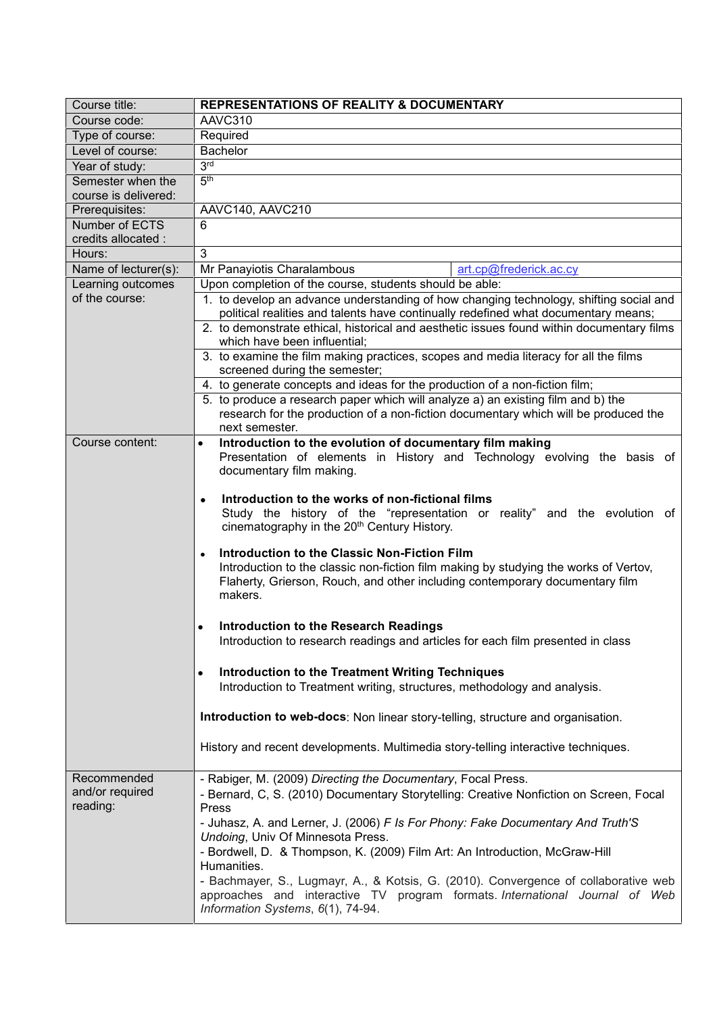| Course title:                             | <b>REPRESENTATIONS OF REALITY &amp; DOCUMENTARY</b>                                                                                                                             |
|-------------------------------------------|---------------------------------------------------------------------------------------------------------------------------------------------------------------------------------|
| Course code:                              | AAVC310                                                                                                                                                                         |
| Type of course:                           | Required                                                                                                                                                                        |
| Level of course:                          | <b>Bachelor</b>                                                                                                                                                                 |
| Year of study:                            | 3 <sub>lg</sub>                                                                                                                                                                 |
| Semester when the<br>course is delivered: | 5 <sup>th</sup>                                                                                                                                                                 |
| Prerequisites:                            | AAVC140, AAVC210                                                                                                                                                                |
| Number of ECTS                            | 6                                                                                                                                                                               |
| credits allocated :                       |                                                                                                                                                                                 |
| Hours:                                    | 3                                                                                                                                                                               |
| Name of lecturer(s):                      | Mr Panayiotis Charalambous<br>art.cp@frederick.ac.cy                                                                                                                            |
| Learning outcomes                         | Upon completion of the course, students should be able:                                                                                                                         |
| of the course:                            | 1. to develop an advance understanding of how changing technology, shifting social and                                                                                          |
|                                           | political realities and talents have continually redefined what documentary means;<br>2. to demonstrate ethical, historical and aesthetic issues found within documentary films |
|                                           | which have been influential:                                                                                                                                                    |
|                                           | 3. to examine the film making practices, scopes and media literacy for all the films                                                                                            |
|                                           | screened during the semester;                                                                                                                                                   |
|                                           | 4. to generate concepts and ideas for the production of a non-fiction film;                                                                                                     |
|                                           | 5. to produce a research paper which will analyze a) an existing film and b) the                                                                                                |
|                                           | research for the production of a non-fiction documentary which will be produced the                                                                                             |
|                                           | next semester.                                                                                                                                                                  |
| Course content:                           | Introduction to the evolution of documentary film making<br>$\bullet$<br>Presentation of elements in History and Technology evolving the basis of                               |
|                                           | documentary film making.                                                                                                                                                        |
|                                           | Introduction to the works of non-fictional films                                                                                                                                |
|                                           | $\bullet$<br>Study the history of the "representation or reality" and the evolution of                                                                                          |
|                                           | cinematography in the 20 <sup>th</sup> Century History.                                                                                                                         |
|                                           |                                                                                                                                                                                 |
|                                           | Introduction to the Classic Non-Fiction Film<br>$\bullet$                                                                                                                       |
|                                           | Introduction to the classic non-fiction film making by studying the works of Vertov,<br>Flaherty, Grierson, Rouch, and other including contemporary documentary film            |
|                                           | makers.                                                                                                                                                                         |
|                                           |                                                                                                                                                                                 |
|                                           | Introduction to the Research Readings<br>$\bullet$                                                                                                                              |
|                                           | Introduction to research readings and articles for each film presented in class                                                                                                 |
|                                           |                                                                                                                                                                                 |
|                                           | Introduction to the Treatment Writing Techniques<br>$\bullet$                                                                                                                   |
|                                           | Introduction to Treatment writing, structures, methodology and analysis.                                                                                                        |
|                                           |                                                                                                                                                                                 |
|                                           | Introduction to web-docs: Non linear story-telling, structure and organisation.                                                                                                 |
|                                           | History and recent developments. Multimedia story-telling interactive techniques.                                                                                               |
|                                           |                                                                                                                                                                                 |
| Recommended                               | - Rabiger, M. (2009) Directing the Documentary, Focal Press.                                                                                                                    |
| and/or required<br>reading:               | - Bernard, C, S. (2010) Documentary Storytelling: Creative Nonfiction on Screen, Focal                                                                                          |
|                                           | Press                                                                                                                                                                           |
|                                           | - Juhasz, A. and Lerner, J. (2006) F Is For Phony: Fake Documentary And Truth'S<br>Undoing, Univ Of Minnesota Press.                                                            |
|                                           | - Bordwell, D. & Thompson, K. (2009) Film Art: An Introduction, McGraw-Hill                                                                                                     |
|                                           | Humanities.                                                                                                                                                                     |
|                                           | - Bachmayer, S., Lugmayr, A., & Kotsis, G. (2010). Convergence of collaborative web                                                                                             |
|                                           | approaches and interactive TV program formats. International Journal of Web                                                                                                     |
|                                           | Information Systems, 6(1), 74-94.                                                                                                                                               |